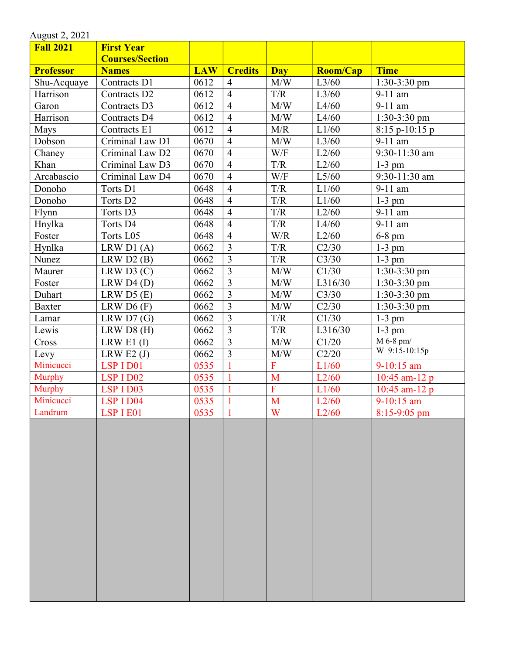| <b>First Year</b>      |                                                                                                                                                                                                                           |                                                                                                      |                                                                                                                                                                                                              |                                                                                                                          |                                                                                                                       |
|------------------------|---------------------------------------------------------------------------------------------------------------------------------------------------------------------------------------------------------------------------|------------------------------------------------------------------------------------------------------|--------------------------------------------------------------------------------------------------------------------------------------------------------------------------------------------------------------|--------------------------------------------------------------------------------------------------------------------------|-----------------------------------------------------------------------------------------------------------------------|
| <b>Courses/Section</b> |                                                                                                                                                                                                                           |                                                                                                      |                                                                                                                                                                                                              |                                                                                                                          |                                                                                                                       |
| <b>Names</b>           | <b>LAW</b>                                                                                                                                                                                                                | <b>Credits</b>                                                                                       | <b>Day</b>                                                                                                                                                                                                   | <b>Room/Cap</b>                                                                                                          | <b>Time</b>                                                                                                           |
| Contracts D1           | 0612                                                                                                                                                                                                                      | $\overline{4}$                                                                                       | M/W                                                                                                                                                                                                          | L3/60                                                                                                                    | $1:30-3:30$ pm                                                                                                        |
| Contracts D2           | 0612                                                                                                                                                                                                                      | $\overline{4}$                                                                                       | T/R                                                                                                                                                                                                          | L3/60                                                                                                                    | 9-11 am                                                                                                               |
| Contracts D3           | 0612                                                                                                                                                                                                                      | $\overline{4}$                                                                                       | M/W                                                                                                                                                                                                          | L4/60                                                                                                                    | 9-11 am                                                                                                               |
| Contracts D4           | 0612                                                                                                                                                                                                                      | $\overline{4}$                                                                                       | M/W                                                                                                                                                                                                          | L4/60                                                                                                                    | $1:30-3:30$ pm                                                                                                        |
| Contracts E1           | 0612                                                                                                                                                                                                                      | $\overline{4}$                                                                                       | M/R                                                                                                                                                                                                          | L1/60                                                                                                                    | $8:15$ p-10:15 p                                                                                                      |
| Criminal Law D1        | 0670                                                                                                                                                                                                                      | $\overline{4}$                                                                                       | M/W                                                                                                                                                                                                          | L3/60                                                                                                                    | 9-11 am                                                                                                               |
| Criminal Law D2        | 0670                                                                                                                                                                                                                      | $\overline{4}$                                                                                       | W/F                                                                                                                                                                                                          | L2/60                                                                                                                    | 9:30-11:30 am                                                                                                         |
| Criminal Law D3        | 0670                                                                                                                                                                                                                      | $\overline{4}$                                                                                       | T/R                                                                                                                                                                                                          | L2/60                                                                                                                    | $1-3$ pm                                                                                                              |
| Criminal Law D4        | 0670                                                                                                                                                                                                                      | $\overline{4}$                                                                                       | W/F                                                                                                                                                                                                          | L5/60                                                                                                                    | 9:30-11:30 am                                                                                                         |
| Torts D1               | 0648                                                                                                                                                                                                                      | $\overline{4}$                                                                                       | T/R                                                                                                                                                                                                          | L1/60                                                                                                                    | 9-11 am                                                                                                               |
| Torts D <sub>2</sub>   | 0648                                                                                                                                                                                                                      | $\overline{4}$                                                                                       | T/R                                                                                                                                                                                                          | L1/60                                                                                                                    | $1-3$ pm                                                                                                              |
| Torts D3               | 0648                                                                                                                                                                                                                      | $\overline{4}$                                                                                       | T/R                                                                                                                                                                                                          | L2/60                                                                                                                    | $9-11$ am                                                                                                             |
| Torts D4               | 0648                                                                                                                                                                                                                      | $\overline{4}$                                                                                       | T/R                                                                                                                                                                                                          | L4/60                                                                                                                    | $9-11$ am                                                                                                             |
|                        | 0648                                                                                                                                                                                                                      | $\overline{4}$                                                                                       | W/R                                                                                                                                                                                                          | L2/60                                                                                                                    | 6-8 pm                                                                                                                |
|                        | 0662                                                                                                                                                                                                                      | $\overline{\mathbf{3}}$                                                                              | T/R                                                                                                                                                                                                          | C2/30                                                                                                                    | $1-3$ pm                                                                                                              |
|                        | 0662                                                                                                                                                                                                                      | $\overline{3}$                                                                                       | T/R                                                                                                                                                                                                          | C3/30                                                                                                                    | $1-3$ pm                                                                                                              |
|                        |                                                                                                                                                                                                                           |                                                                                                      |                                                                                                                                                                                                              |                                                                                                                          | $1:30-3:30$ pm                                                                                                        |
|                        |                                                                                                                                                                                                                           |                                                                                                      |                                                                                                                                                                                                              |                                                                                                                          | $1:30-3:30$ pm                                                                                                        |
|                        |                                                                                                                                                                                                                           |                                                                                                      |                                                                                                                                                                                                              |                                                                                                                          | $1:30-3:30$ pm                                                                                                        |
|                        |                                                                                                                                                                                                                           |                                                                                                      |                                                                                                                                                                                                              |                                                                                                                          | $1:30-3:30$ pm                                                                                                        |
|                        |                                                                                                                                                                                                                           |                                                                                                      |                                                                                                                                                                                                              |                                                                                                                          | $1-3$ pm                                                                                                              |
|                        |                                                                                                                                                                                                                           |                                                                                                      |                                                                                                                                                                                                              |                                                                                                                          | $1-3$ pm                                                                                                              |
|                        |                                                                                                                                                                                                                           |                                                                                                      |                                                                                                                                                                                                              |                                                                                                                          | $M 6-8$ pm/                                                                                                           |
|                        |                                                                                                                                                                                                                           |                                                                                                      |                                                                                                                                                                                                              |                                                                                                                          | W 9:15-10:15p                                                                                                         |
|                        |                                                                                                                                                                                                                           |                                                                                                      |                                                                                                                                                                                                              |                                                                                                                          | 9-10:15 am                                                                                                            |
|                        |                                                                                                                                                                                                                           |                                                                                                      |                                                                                                                                                                                                              |                                                                                                                          | 10:45 am-12 $p$                                                                                                       |
|                        |                                                                                                                                                                                                                           |                                                                                                      |                                                                                                                                                                                                              |                                                                                                                          | 10:45 am-12 $p$                                                                                                       |
|                        |                                                                                                                                                                                                                           |                                                                                                      |                                                                                                                                                                                                              |                                                                                                                          | $9-10:15$ am                                                                                                          |
|                        |                                                                                                                                                                                                                           |                                                                                                      |                                                                                                                                                                                                              |                                                                                                                          | $8:15-9:05$ pm                                                                                                        |
|                        |                                                                                                                                                                                                                           |                                                                                                      |                                                                                                                                                                                                              |                                                                                                                          |                                                                                                                       |
|                        | Torts L05<br>LRW D1 $(A)$<br>LRW D2 (B)<br>LRW D3 (C)<br>LRW D4 (D)<br>LRW D5 (E)<br>LRW D6(F)<br>LRW D7(G)<br>LRW D8(H)<br>LRW E1 $(I)$<br>LRW E2 $(J)$<br>LSP I D01<br>LSP I D02<br>LSP I D03<br>LSP I D04<br>LSP I E01 | 0662<br>0662<br>0662<br>0662<br>0662<br>0662<br>0662<br>0662<br>0535<br>0535<br>0535<br>0535<br>0535 | $\overline{3}$<br>$\overline{3}$<br>$\overline{3}$<br>$\overline{3}$<br>$\overline{3}$<br>$\overline{3}$<br>$\overline{3}$<br>$\overline{3}$<br>$\mathbf{1}$<br>$\mathbf{1}$<br>$\mathbf{1}$<br>$\mathbf{1}$ | M/W<br>M/W<br>M/W<br>M/W<br>T/R<br>$\mathrm{T}/\mathrm{R}$<br>M/W<br>M/W<br>$\overline{F}$<br>M<br>$\mathbf F$<br>M<br>W | C1/30<br>L316/30<br>C3/30<br>C2/30<br>C1/30<br>L316/30<br>C1/20<br>C2/20<br>L1/60<br>L2/60<br>L1/60<br>L2/60<br>L2/60 |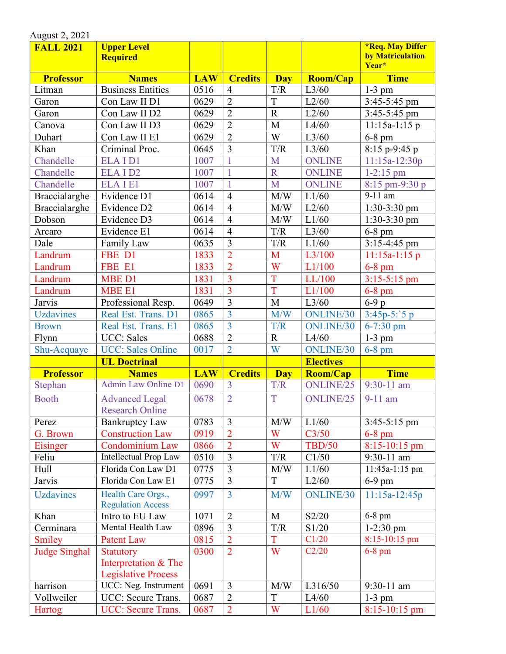| August 2, 2021       |                                                 |            |                |                |                  |                                                      |
|----------------------|-------------------------------------------------|------------|----------------|----------------|------------------|------------------------------------------------------|
| <b>FALL 2021</b>     | <b>Upper Level</b><br><b>Required</b>           |            |                |                |                  | <b>*Req. May Differ</b><br>by Matriculation<br>Year* |
| <b>Professor</b>     | <b>Names</b>                                    | <b>LAW</b> | <b>Credits</b> | <b>Day</b>     | Room/Cap         | <b>Time</b>                                          |
| Litman               | <b>Business Entities</b>                        | 0516       | $\overline{4}$ | T/R            | L3/60            | $1-3$ pm                                             |
| Garon                | Con Law II D1                                   | 0629       | $\overline{2}$ | T              | L2/60            | 3:45-5:45 pm                                         |
| Garon                | Con Law II D2                                   | 0629       | $\overline{2}$ | $\overline{R}$ | L2/60            | 3:45-5:45 pm                                         |
| Canova               | Con Law II D3                                   | 0629       | $\overline{2}$ | M              | L4/60            | $11:15a-1:15p$                                       |
| Duhart               | Con Law II E1                                   | 0629       | $\overline{2}$ | W              | L3/60            | 6-8 pm                                               |
| Khan                 | Criminal Proc.                                  | 0645       | $\overline{3}$ | T/R            | L3/60            | $8:15$ p-9:45 p                                      |
| Chandelle            | <b>ELAID1</b>                                   | 1007       | $\mathbf{1}$   | M              | <b>ONLINE</b>    | $11:15a-12:30p$                                      |
| Chandelle            | ELAID <sub>2</sub>                              | 1007       | $\mathbf{1}$   | $\overline{R}$ | <b>ONLINE</b>    | $1 - 2:15$ pm                                        |
| Chandelle            | <b>ELAIE1</b>                                   | 1007       |                | M              | <b>ONLINE</b>    | 8:15 pm-9:30 p                                       |
| Braccialarghe        | Evidence D1                                     | 0614       | $\overline{4}$ | M/W            | L1/60            | 9-11 am                                              |
| Braccialarghe        | Evidence D2                                     | 0614       | $\overline{4}$ | M/W            | L2/60            | $1:30-3:30$ pm                                       |
| Dobson               | Evidence D3                                     | 0614       | $\overline{4}$ | M/W            | L1/60            | $1:30-3:30$ pm                                       |
| Arcaro               | Evidence E1                                     | 0614       | $\overline{4}$ | T/R            | L3/60            | $6-8$ pm                                             |
| Dale                 | Family Law                                      | 0635       | $\overline{3}$ | T/R            | L1/60            | $3:15-4:45$ pm                                       |
| Landrum              | FBE D1                                          | 1833       | $\overline{2}$ | M              | L3/100           | $11:15a-1:15p$                                       |
| Landrum              | FBE E1                                          | 1833       | $\overline{2}$ | W              | L1/100           | $6-8$ pm                                             |
| Landrum              | MBE D1                                          | 1831       | $\overline{3}$ | T              | LL/100           | $3:15 - 5:15$ pm                                     |
| Landrum              | <b>MBE E1</b>                                   | 1831       | $\overline{3}$ | T              | L1/100           | $6-8$ pm                                             |
| Jarvis               | Professional Resp.                              | 0649       | $\overline{3}$ | M              | L3/60            | $6-9p$                                               |
| <b>Uzdavines</b>     | Real Est. Trans. D1                             | 0865       | $\overline{3}$ | M/W            | ONLINE/30        | $3:45p-5$ : 5 p                                      |
| <b>Brown</b>         | Real Est. Trans. E1                             | 0865       | $\overline{3}$ | T/R            | <b>ONLINE/30</b> | 6-7:30 pm                                            |
| Flynn                | <b>UCC:</b> Sales                               | 0688       | $\overline{2}$ | $\mathbf R$    | L4/60            | $1-3$ pm                                             |
| Shu-Acquaye          | <b>UCC: Sales Online</b>                        | 0017       | $\overline{2}$ | W              | <b>ONLINE/30</b> | $6-8$ pm                                             |
|                      | <b>UL Doctrinal</b>                             |            |                |                | <b>Electives</b> |                                                      |
| <b>Professor</b>     | <b>Names</b>                                    | <b>LAW</b> | <b>Credits</b> | <b>Day</b>     | Room/Cap         | <b>Time</b>                                          |
| Stephan              | <b>Admin Law Online D1</b>                      | 0690       | $\overline{3}$ | T/R            | ONLINE/25        | $9:30-11$ am                                         |
| Booth                | <b>Advanced Legal</b><br><b>Research Online</b> | 0678       | $\overline{2}$ | T              | ONLINE/25        | $9-11$ am                                            |
| Perez                | <b>Bankruptcy Law</b>                           | 0783       | $\mathfrak{Z}$ | M/W            | L1/60            | $3:45-5:15$ pm                                       |
| G. Brown             | <b>Construction Law</b>                         | 0919       | $\overline{2}$ | W              | C3/50            | $6-8$ pm                                             |
| Eisinger             | Condominium Law                                 | 0866       | $\overline{2}$ | W              | <b>TBD/50</b>    | $8:15-10:15$ pm                                      |
| Feliu                | Intellectual Prop Law                           | 0510       | 3              | T/R            | C1/50            | 9:30-11 am                                           |
| Hull                 | Florida Con Law D1                              | 0775       | $\overline{3}$ | M/W            | L1/60            | 11:45a-1:15 pm                                       |
| <b>Jarvis</b>        | Florida Con Law E1                              | 0775       | $\overline{3}$ | T              | L2/60            | $6-9$ pm                                             |
| <b>Uzdavines</b>     | Health Care Orgs.,<br><b>Regulation Access</b>  | 0997       | $\overline{3}$ | M/W            | <b>ONLINE/30</b> | 11:15a-12:45p                                        |
| Khan                 | Intro to EU Law                                 | 1071       | $\overline{2}$ | M              | S2/20            | $6-8$ pm                                             |
| Cerminara            | Mental Health Law                               | 0896       | $\overline{3}$ | T/R            | S1/20            | $1-2:30$ pm                                          |
| Smiley               | <b>Patent Law</b>                               | 0815       | $\overline{2}$ | T              | C1/20            | $8:15-10:15$ pm                                      |
| <b>Judge Singhal</b> | <b>Statutory</b>                                | 0300       | $\overline{2}$ | W              | C2/20            | $6-8$ pm                                             |
|                      | Interpretation & The                            |            |                |                |                  |                                                      |
|                      | <b>Legislative Process</b>                      |            |                |                |                  |                                                      |
| harrison             | UCC: Neg. Instrument                            | 0691       | $\overline{3}$ | M/W            | L316/50          | $9:30-11$ am                                         |
| Vollweiler           | UCC: Secure Trans.                              | 0687       | $\overline{2}$ | T              | L4/60            | $1-3$ pm                                             |
| Hartog               | UCC: Secure Trans.                              | 0687       | $\overline{2}$ | W              | L1/60            | $8:15-10:15$ pm                                      |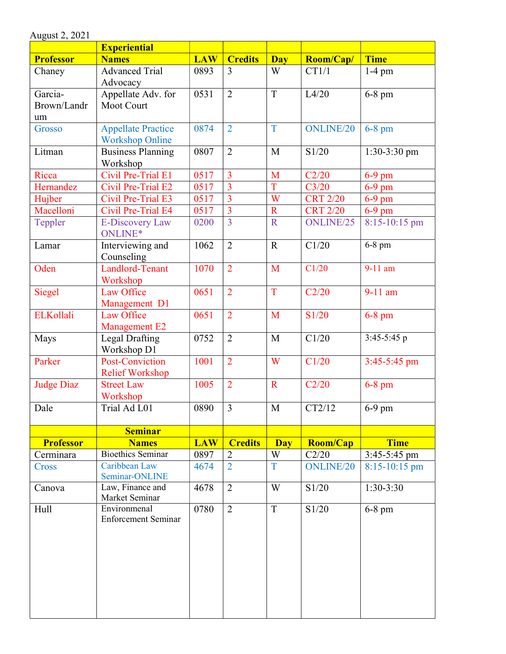|                              | <b>Experiential</b>                                 |            |                |                |                  |                 |
|------------------------------|-----------------------------------------------------|------------|----------------|----------------|------------------|-----------------|
| <b>Professor</b>             | <b>Names</b>                                        | <b>LAW</b> | <b>Credits</b> | <b>Day</b>     | Room/Cap/        | <b>Time</b>     |
| Chaney                       | <b>Advanced Trial</b><br>Advocacy                   | 0893       | 3              | W              | CT1/1            | $1-4$ pm        |
| Garcia-<br>Brown/Landr<br>um | Appellate Adv. for<br><b>Moot Court</b>             | 0531       | $\overline{2}$ | T              | L4/20            | $6-8$ pm        |
| Grosso                       | <b>Appellate Practice</b><br><b>Workshop Online</b> | 0874       | $\overline{2}$ | T              | <b>ONLINE/20</b> | $6-8$ pm        |
| Litman                       | <b>Business Planning</b><br>Workshop                | 0807       | $\overline{2}$ | M              | S1/20            | 1:30-3:30 pm    |
| Ricca                        | Civil Pre-Trial E1                                  | 0517       | $\overline{3}$ | M              | C2/20            | $6-9$ pm        |
| Hernandez                    | Civil Pre-Trial E2                                  | 0517       | $\overline{3}$ | $\overline{T}$ | C3/20            | $6-9$ pm        |
| Hujber                       | Civil Pre-Trial E3                                  | 0517       | $\overline{3}$ | W              | <b>CRT 2/20</b>  | $6-9$ pm        |
| Macelloni                    | Civil Pre-Trial E4                                  | 0517       | $\overline{3}$ | $\mathbf R$    | <b>CRT 2/20</b>  | $6-9$ pm        |
| Teppler                      | <b>E-Discovery Law</b><br>ONLINE*                   | 0200       | $\overline{3}$ | $\mathbf R$    | ONLINE/25        | 8:15-10:15 pm   |
| Lamar                        | Interviewing and<br>Counseling                      | 1062       | $\overline{2}$ | $\mathbf R$    | C1/20            | $6-8$ pm        |
| Oden                         | Landlord-Tenant<br>Workshop                         | 1070       | $\overline{2}$ | M              | C1/20            | 9-11 am         |
| Siegel                       | Law Office<br>Management D1                         | 0651       | $\overline{2}$ | T              | C2/20            | $9-11$ am       |
| <b>ELKollali</b>             | Law Office<br><b>Management E2</b>                  | 0651       | $\overline{2}$ | M              | S1/20            | $6-8$ pm        |
| Mays                         | <b>Legal Drafting</b><br>Workshop D1                | 0752       | $\overline{2}$ | M              | C1/20            | 3:45-5:45 $p$   |
| Parker                       | Post-Conviction<br><b>Relief Workshop</b>           | 1001       | $\overline{2}$ | W              | C1/20            | 3:45-5:45 pm    |
| <b>Judge Diaz</b>            | <b>Street Law</b><br>Workshop                       | 1005       | $\overline{2}$ | $\mathbf R$    | C2/20            | $6-8$ pm        |
| Dale                         | Trial Ad L01                                        | 0890       | $\overline{3}$ | $\mathbf{M}$   | CT2/12           | $6-9$ pm        |
|                              | <b>Seminar</b>                                      |            |                |                |                  |                 |
| <b>Professor</b>             | <b>Names</b>                                        | <b>LAW</b> | <b>Credits</b> | <b>Day</b>     | <b>Room/Cap</b>  | <b>Time</b>     |
| Cerminara                    | <b>Bioethics Seminar</b>                            | 0897       | $\overline{2}$ | W              | C2/20            | $3:45-5:45$ pm  |
| Cross                        | Caribbean Law<br>Seminar-ONLINE                     | 4674       | $\overline{2}$ | T              | <b>ONLINE/20</b> | $8:15-10:15$ pm |
| Canova                       | Law, Finance and<br>Market Seminar                  | 4678       | $\overline{2}$ | W              | S1/20            | $1:30-3:30$     |
| Hull                         | Environmenal<br><b>Enforcement Seminar</b>          | 0780       | $\overline{2}$ | $\overline{T}$ | S1/20            | $6-8$ pm        |

August 2, 2021